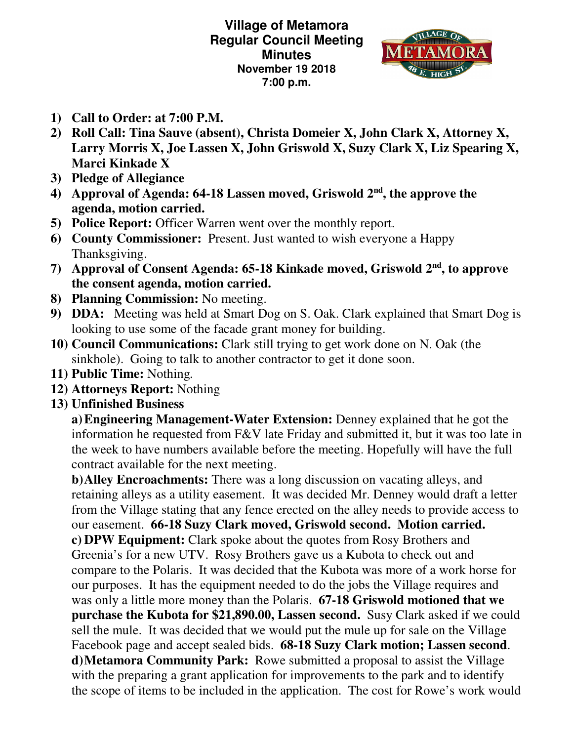**Village of Metamora Regular Council Meeting Minutes November 19 2018 7:00 p.m.** 



- **1) Call to Order: at 7:00 P.M.**
- **2) Roll Call: Tina Sauve (absent), Christa Domeier X, John Clark X, Attorney X, Larry Morris X, Joe Lassen X, John Griswold X, Suzy Clark X, Liz Spearing X, Marci Kinkade X**
- **3) Pledge of Allegiance**
- **4) Approval of Agenda: 64-18 Lassen moved, Griswold 2nd, the approve the agenda, motion carried.**
- **5) Police Report:** Officer Warren went over the monthly report.
- **6) County Commissioner:** Present. Just wanted to wish everyone a Happy Thanksgiving.
- **7) Approval of Consent Agenda: 65-18 Kinkade moved, Griswold 2nd, to approve the consent agenda, motion carried.**
- **8) Planning Commission:** No meeting.
- **9) DDA:** Meeting was held at Smart Dog on S. Oak. Clark explained that Smart Dog is looking to use some of the facade grant money for building.
- **10) Council Communications:** Clark still trying to get work done on N. Oak (the sinkhole). Going to talk to another contractor to get it done soon.
- **11) Public Time:** Nothing*.*
- **12) Attorneys Report:** Nothing
- **13) Unfinished Business**

**a)Engineering Management-Water Extension:** Denney explained that he got the information he requested from F&V late Friday and submitted it, but it was too late in the week to have numbers available before the meeting. Hopefully will have the full contract available for the next meeting.

**b)Alley Encroachments:** There was a long discussion on vacating alleys, and retaining alleys as a utility easement. It was decided Mr. Denney would draft a letter from the Village stating that any fence erected on the alley needs to provide access to our easement. **66-18 Suzy Clark moved, Griswold second. Motion carried. c) DPW Equipment:** Clark spoke about the quotes from Rosy Brothers and Greenia's for a new UTV. Rosy Brothers gave us a Kubota to check out and compare to the Polaris. It was decided that the Kubota was more of a work horse for our purposes. It has the equipment needed to do the jobs the Village requires and was only a little more money than the Polaris. **67-18 Griswold motioned that we purchase the Kubota for \$21,890.00, Lassen second.** Susy Clark asked if we could sell the mule. It was decided that we would put the mule up for sale on the Village Facebook page and accept sealed bids. **68-18 Suzy Clark motion; Lassen second**. **d)Metamora Community Park:** Rowe submitted a proposal to assist the Village with the preparing a grant application for improvements to the park and to identify the scope of items to be included in the application. The cost for Rowe's work would